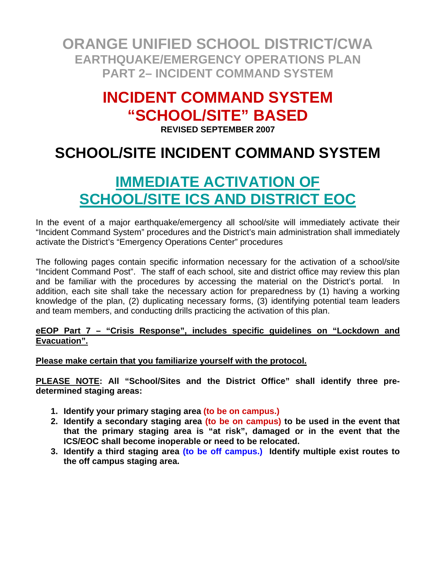### **INCIDENT COMMAND SYSTEM "SCHOOL/SITE" BASED**

**REVISED SEPTEMBER 2007** 

### **SCHOOL/SITE INCIDENT COMMAND SYSTEM**

### **IMMEDIATE ACTIVATION OF SCHOOL/SITE ICS AND DISTRICT EOC**

In the event of a major earthquake/emergency all school/site will immediately activate their "Incident Command System" procedures and the District's main administration shall immediately activate the District's "Emergency Operations Center" procedures

The following pages contain specific information necessary for the activation of a school/site "Incident Command Post". The staff of each school, site and district office may review this plan and be familiar with the procedures by accessing the material on the District's portal. In addition, each site shall take the necessary action for preparedness by (1) having a working knowledge of the plan, (2) duplicating necessary forms, (3) identifying potential team leaders and team members, and conducting drills practicing the activation of this plan.

#### **eEOP Part 7 – "Crisis Response", includes specific guidelines on "Lockdown and Evacuation".**

**Please make certain that you familiarize yourself with the protocol.**

**PLEASE NOTE: All "School/Sites and the District Office" shall identify three predetermined staging areas:** 

- **1. Identify your primary staging area (to be on campus.)**
- **2. Identify a secondary staging area (to be on campus) to be used in the event that that the primary staging area is "at risk", damaged or in the event that the ICS/EOC shall become inoperable or need to be relocated.**
- **3. Identify a third staging area (to be off campus.) Identify multiple exist routes to the off campus staging area.**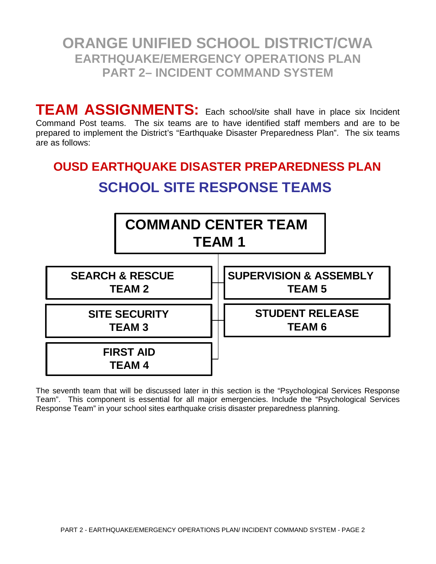**TEAM ASSIGNMENTS:** Each school/site shall have in place six Incident Command Post teams. The six teams are to have identified staff members and are to be prepared to implement the District's "Earthquake Disaster Preparedness Plan". The six teams are as follows:

### **OUSD EARTHQUAKE DISASTER PREPAREDNESS PLAN SCHOOL SITE RESPONSE TEAMS**



The seventh team that will be discussed later in this section is the "Psychological Services Response Team". This component is essential for all major emergencies. Include the "Psychological Services Response Team" in your school sites earthquake crisis disaster preparedness planning.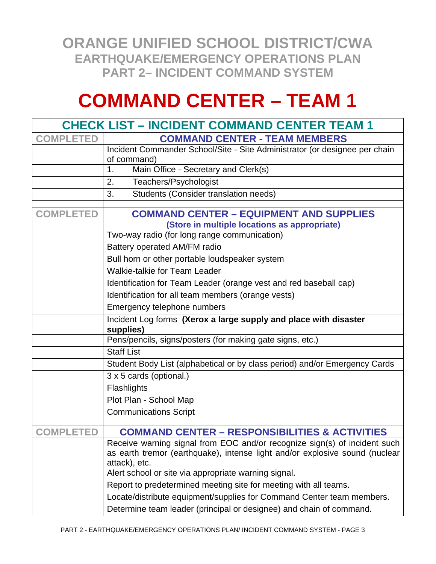# **COMMAND CENTER – TEAM 1**

|                  | <b>CHECK LIST - INCIDENT COMMAND CENTER TEAM 1</b>                                                                                                                        |  |  |
|------------------|---------------------------------------------------------------------------------------------------------------------------------------------------------------------------|--|--|
| <b>COMPLETED</b> | <b>COMMAND CENTER - TEAM MEMBERS</b>                                                                                                                                      |  |  |
|                  | Incident Commander School/Site - Site Administrator (or designee per chain                                                                                                |  |  |
|                  | of command)                                                                                                                                                               |  |  |
|                  | Main Office - Secretary and Clerk(s)<br>1.                                                                                                                                |  |  |
|                  | Teachers/Psychologist<br>2.                                                                                                                                               |  |  |
|                  | Students (Consider translation needs)<br>3.                                                                                                                               |  |  |
| <b>COMPLETED</b> | <b>COMMAND CENTER - EQUIPMENT AND SUPPLIES</b>                                                                                                                            |  |  |
|                  | (Store in multiple locations as appropriate)                                                                                                                              |  |  |
|                  | Two-way radio (for long range communication)                                                                                                                              |  |  |
|                  | Battery operated AM/FM radio                                                                                                                                              |  |  |
|                  | Bull horn or other portable loudspeaker system                                                                                                                            |  |  |
|                  | Walkie-talkie for Team Leader                                                                                                                                             |  |  |
|                  | Identification for Team Leader (orange vest and red baseball cap)                                                                                                         |  |  |
|                  | Identification for all team members (orange vests)                                                                                                                        |  |  |
|                  | Emergency telephone numbers                                                                                                                                               |  |  |
|                  | Incident Log forms (Xerox a large supply and place with disaster<br>supplies)                                                                                             |  |  |
|                  | Pens/pencils, signs/posters (for making gate signs, etc.)                                                                                                                 |  |  |
|                  | <b>Staff List</b>                                                                                                                                                         |  |  |
|                  | Student Body List (alphabetical or by class period) and/or Emergency Cards                                                                                                |  |  |
|                  | 3 x 5 cards (optional.)                                                                                                                                                   |  |  |
|                  | Flashlights                                                                                                                                                               |  |  |
|                  | Plot Plan - School Map                                                                                                                                                    |  |  |
|                  | <b>Communications Script</b>                                                                                                                                              |  |  |
| <b>COMPLETED</b> | <b>COMMAND CENTER - RESPONSIBILITIES &amp; ACTIVITIES</b>                                                                                                                 |  |  |
|                  | Receive warning signal from EOC and/or recognize sign(s) of incident such<br>as earth tremor (earthquake), intense light and/or explosive sound (nuclear<br>attack), etc. |  |  |
|                  | Alert school or site via appropriate warning signal.                                                                                                                      |  |  |
|                  | Report to predetermined meeting site for meeting with all teams.                                                                                                          |  |  |
|                  | Locate/distribute equipment/supplies for Command Center team members.                                                                                                     |  |  |
|                  | Determine team leader (principal or designee) and chain of command.                                                                                                       |  |  |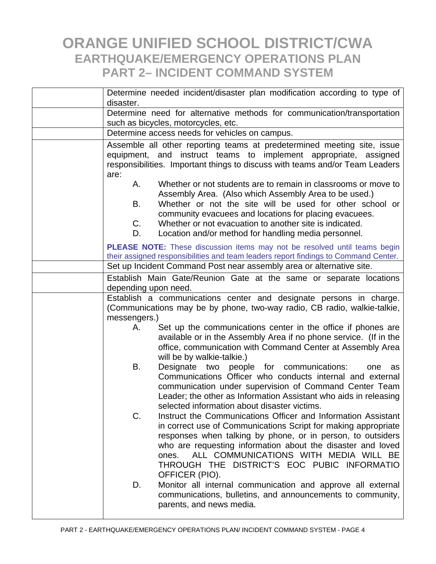| Determine needed incident/disaster plan modification according to type of<br>disaster.                                                                                                                                              |                                                                                                                                                                                                                                                                                                                                                                  |  |
|-------------------------------------------------------------------------------------------------------------------------------------------------------------------------------------------------------------------------------------|------------------------------------------------------------------------------------------------------------------------------------------------------------------------------------------------------------------------------------------------------------------------------------------------------------------------------------------------------------------|--|
| Determine need for alternative methods for communication/transportation                                                                                                                                                             |                                                                                                                                                                                                                                                                                                                                                                  |  |
| such as bicycles, motorcycles, etc.                                                                                                                                                                                                 |                                                                                                                                                                                                                                                                                                                                                                  |  |
| Determine access needs for vehicles on campus.                                                                                                                                                                                      |                                                                                                                                                                                                                                                                                                                                                                  |  |
| Assemble all other reporting teams at predetermined meeting site, issue<br>equipment, and instruct teams to implement appropriate, assigned<br>responsibilities. Important things to discuss with teams and/or Team Leaders<br>are: |                                                                                                                                                                                                                                                                                                                                                                  |  |
| A.<br>В.<br>C.<br>D.                                                                                                                                                                                                                | Whether or not students are to remain in classrooms or move to<br>Assembly Area. (Also which Assembly Area to be used.)<br>Whether or not the site will be used for other school or<br>community evacuees and locations for placing evacuees.<br>Whether or not evacuation to another site is indicated.<br>Location and/or method for handling media personnel. |  |
| <b>PLEASE NOTE:</b> These discussion items may not be resolved until teams begin<br>their assigned responsibilities and team leaders report findings to Command Center.                                                             |                                                                                                                                                                                                                                                                                                                                                                  |  |
| Set up Incident Command Post near assembly area or alternative site.                                                                                                                                                                |                                                                                                                                                                                                                                                                                                                                                                  |  |
| Establish Main Gate/Reunion Gate at the same or separate locations<br>depending upon need.                                                                                                                                          |                                                                                                                                                                                                                                                                                                                                                                  |  |
| Establish a communications center and designate persons in charge.<br>(Communications may be by phone, two-way radio, CB radio, walkie-talkie,<br>messengers.)                                                                      |                                                                                                                                                                                                                                                                                                                                                                  |  |
| А.                                                                                                                                                                                                                                  | Set up the communications center in the office if phones are<br>available or in the Assembly Area if no phone service. (If in the<br>office, communication with Command Center at Assembly Area<br>will be by walkie-talkie.)                                                                                                                                    |  |
| В.                                                                                                                                                                                                                                  | Designate two people for communications:<br>one<br>as<br>Communications Officer who conducts internal and external<br>communication under supervision of Command Center Team<br>Leader; the other as Information Assistant who aids in releasing<br>selected information about disaster victims.                                                                 |  |
| C.                                                                                                                                                                                                                                  | Instruct the Communications Officer and Information Assistant<br>in correct use of Communications Script for making appropriate<br>responses when talking by phone, or in person, to outsiders<br>who are requesting information about the disaster and loved<br>ALL COMMUNICATIONS WITH MEDIA WILL BE<br>ones.<br>THROUGH THE DISTRICT'S EOC PUBIC INFORMATIO   |  |
| D.                                                                                                                                                                                                                                  | OFFICER (PIO).<br>Monitor all internal communication and approve all external<br>communications, bulletins, and announcements to community,<br>parents, and news media.                                                                                                                                                                                          |  |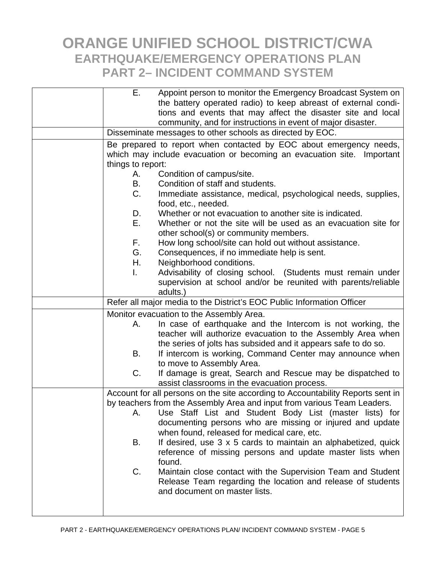| Е.                                                                              | Appoint person to monitor the Emergency Broadcast System on             |  |
|---------------------------------------------------------------------------------|-------------------------------------------------------------------------|--|
|                                                                                 | the battery operated radio) to keep abreast of external condi-          |  |
|                                                                                 | tions and events that may affect the disaster site and local            |  |
|                                                                                 | community, and for instructions in event of major disaster.             |  |
| Disseminate messages to other schools as directed by EOC.                       |                                                                         |  |
|                                                                                 | Be prepared to report when contacted by EOC about emergency needs,      |  |
| which may include evacuation or becoming an evacuation site. Important          |                                                                         |  |
| things to report:                                                               |                                                                         |  |
| А.                                                                              | Condition of campus/site.                                               |  |
| В.                                                                              | Condition of staff and students.                                        |  |
| C.                                                                              | Immediate assistance, medical, psychological needs, supplies,           |  |
|                                                                                 | food, etc., needed.                                                     |  |
| D.                                                                              | Whether or not evacuation to another site is indicated.                 |  |
| Е.                                                                              | Whether or not the site will be used as an evacuation site for          |  |
|                                                                                 | other school(s) or community members.                                   |  |
| F.                                                                              | How long school/site can hold out without assistance.                   |  |
| G.                                                                              | Consequences, if no immediate help is sent.                             |  |
| Η.                                                                              | Neighborhood conditions.                                                |  |
| L.                                                                              | Advisability of closing school. (Students must remain under             |  |
|                                                                                 | supervision at school and/or be reunited with parents/reliable          |  |
|                                                                                 | adults.)                                                                |  |
| Refer all major media to the District's EOC Public Information Officer          |                                                                         |  |
| Monitor evacuation to the Assembly Area.                                        |                                                                         |  |
| А.                                                                              | In case of earthquake and the Intercom is not working, the              |  |
|                                                                                 | teacher will authorize evacuation to the Assembly Area when             |  |
|                                                                                 | the series of jolts has subsided and it appears safe to do so.          |  |
| В.                                                                              | If intercom is working, Command Center may announce when                |  |
|                                                                                 | to move to Assembly Area.                                               |  |
| $C_{\cdot}$                                                                     | If damage is great, Search and Rescue may be dispatched to              |  |
|                                                                                 | assist classrooms in the evacuation process.                            |  |
| Account for all persons on the site according to Accountability Reports sent in |                                                                         |  |
|                                                                                 | by teachers from the Assembly Area and input from various Team Leaders. |  |
| Α.                                                                              | Use Staff List and Student Body List (master lists) for                 |  |
|                                                                                 | documenting persons who are missing or injured and update               |  |
|                                                                                 | when found, released for medical care, etc.                             |  |
| В.                                                                              | If desired, use 3 x 5 cards to maintain an alphabetized, quick          |  |
|                                                                                 | reference of missing persons and update master lists when               |  |
|                                                                                 | found.                                                                  |  |
| C.                                                                              | Maintain close contact with the Supervision Team and Student            |  |
|                                                                                 | Release Team regarding the location and release of students             |  |
|                                                                                 | and document on master lists.                                           |  |
|                                                                                 |                                                                         |  |
|                                                                                 |                                                                         |  |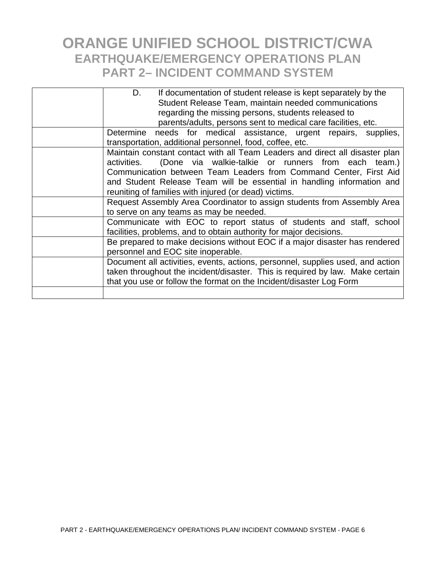| D.<br>If documentation of student release is kept separately by the            |
|--------------------------------------------------------------------------------|
| Student Release Team, maintain needed communications                           |
| regarding the missing persons, students released to                            |
| parents/adults, persons sent to medical care facilities, etc.                  |
| Determine needs for medical assistance, urgent repairs, supplies,              |
| transportation, additional personnel, food, coffee, etc.                       |
| Maintain constant contact with all Team Leaders and direct all disaster plan   |
| activities. (Done via walkie-talkie or runners from each team.)                |
| Communication between Team Leaders from Command Center, First Aid              |
| and Student Release Team will be essential in handling information and         |
| reuniting of families with injured (or dead) victims.                          |
| Request Assembly Area Coordinator to assign students from Assembly Area        |
| to serve on any teams as may be needed.                                        |
| Communicate with EOC to report status of students and staff, school            |
| facilities, problems, and to obtain authority for major decisions.             |
| Be prepared to make decisions without EOC if a major disaster has rendered     |
| personnel and EOC site inoperable.                                             |
| Document all activities, events, actions, personnel, supplies used, and action |
| taken throughout the incident/disaster. This is required by law. Make certain  |
| that you use or follow the format on the Incident/disaster Log Form            |
|                                                                                |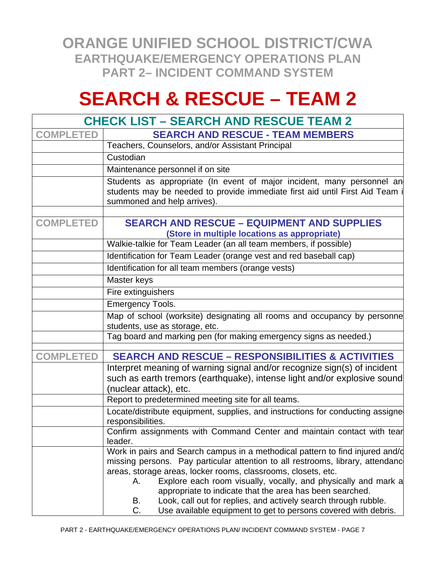# **SEARCH & RESCUE – TEAM 2**

| <b>CHECK LIST – SEARCH AND RESCUE TEAM 2</b> |                                                                                                                                                                                                                                                                                                                                                                                                                                                                                                                       |  |
|----------------------------------------------|-----------------------------------------------------------------------------------------------------------------------------------------------------------------------------------------------------------------------------------------------------------------------------------------------------------------------------------------------------------------------------------------------------------------------------------------------------------------------------------------------------------------------|--|
| <b>COMPLETED</b>                             | <b>SEARCH AND RESCUE - TEAM MEMBERS</b>                                                                                                                                                                                                                                                                                                                                                                                                                                                                               |  |
|                                              | Teachers, Counselors, and/or Assistant Principal                                                                                                                                                                                                                                                                                                                                                                                                                                                                      |  |
|                                              | Custodian                                                                                                                                                                                                                                                                                                                                                                                                                                                                                                             |  |
|                                              | Maintenance personnel if on site                                                                                                                                                                                                                                                                                                                                                                                                                                                                                      |  |
|                                              | Students as appropriate (In event of major incident, many personnel an<br>students may be needed to provide immediate first aid until First Aid Team i<br>summoned and help arrives).                                                                                                                                                                                                                                                                                                                                 |  |
| <b>COMPLETED</b>                             | <b>SEARCH AND RESCUE - EQUIPMENT AND SUPPLIES</b><br>(Store in multiple locations as appropriate)                                                                                                                                                                                                                                                                                                                                                                                                                     |  |
|                                              | Walkie-talkie for Team Leader (an all team members, if possible)                                                                                                                                                                                                                                                                                                                                                                                                                                                      |  |
|                                              | Identification for Team Leader (orange vest and red baseball cap)                                                                                                                                                                                                                                                                                                                                                                                                                                                     |  |
|                                              | Identification for all team members (orange vests)                                                                                                                                                                                                                                                                                                                                                                                                                                                                    |  |
|                                              | Master keys                                                                                                                                                                                                                                                                                                                                                                                                                                                                                                           |  |
|                                              | Fire extinguishers                                                                                                                                                                                                                                                                                                                                                                                                                                                                                                    |  |
|                                              | <b>Emergency Tools.</b>                                                                                                                                                                                                                                                                                                                                                                                                                                                                                               |  |
|                                              | Map of school (worksite) designating all rooms and occupancy by personne<br>students, use as storage, etc.                                                                                                                                                                                                                                                                                                                                                                                                            |  |
|                                              | Tag board and marking pen (for making emergency signs as needed.)                                                                                                                                                                                                                                                                                                                                                                                                                                                     |  |
| <b>COMPLETED</b>                             | <b>SEARCH AND RESCUE - RESPONSIBILITIES &amp; ACTIVITIES</b>                                                                                                                                                                                                                                                                                                                                                                                                                                                          |  |
|                                              | Interpret meaning of warning signal and/or recognize sign(s) of incident<br>such as earth tremors (earthquake), intense light and/or explosive sound<br>(nuclear attack), etc.                                                                                                                                                                                                                                                                                                                                        |  |
|                                              | Report to predetermined meeting site for all teams.                                                                                                                                                                                                                                                                                                                                                                                                                                                                   |  |
|                                              | Locate/distribute equipment, supplies, and instructions for conducting assigne<br>responsibilities.                                                                                                                                                                                                                                                                                                                                                                                                                   |  |
|                                              | Confirm assignments with Command Center and maintain contact with tear<br>leader.                                                                                                                                                                                                                                                                                                                                                                                                                                     |  |
|                                              | Work in pairs and Search campus in a methodical pattern to find injured and/d<br>missing persons. Pay particular attention to all restrooms, library, attendanc<br>areas, storage areas, locker rooms, classrooms, closets, etc.<br>Explore each room visually, vocally, and physically and mark a<br>Α.<br>appropriate to indicate that the area has been searched.<br>Look, call out for replies, and actively search through rubble.<br>В.<br>Use available equipment to get to persons covered with debris.<br>C. |  |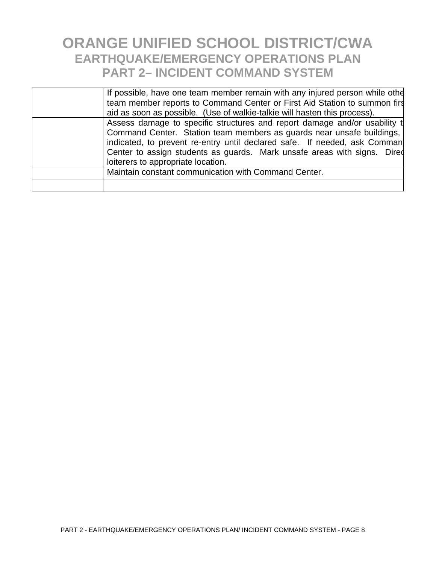| If possible, have one team member remain with any injured person while other |
|------------------------------------------------------------------------------|
| team member reports to Command Center or First Aid Station to summon firs    |
| aid as soon as possible. (Use of walkie-talkie will hasten this process).    |
| Assess damage to specific structures and report damage and/or usability to   |
| Command Center. Station team members as guards near unsafe buildings,        |
| indicated, to prevent re-entry until declared safe. If needed, ask Comman    |
| Center to assign students as guards. Mark unsafe areas with signs. Dired     |
| loiterers to appropriate location.                                           |
| Maintain constant communication with Command Center.                         |
|                                                                              |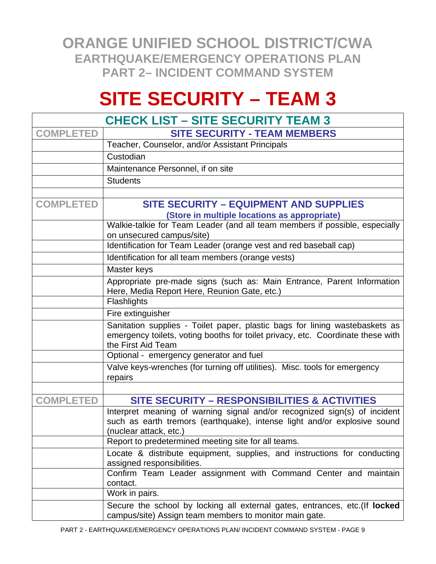# **SITE SECURITY – TEAM 3**

| <b>CHECK LIST – SITE SECURITY TEAM 3</b> |                                                                                                                                                                                      |  |
|------------------------------------------|--------------------------------------------------------------------------------------------------------------------------------------------------------------------------------------|--|
| <b>COMPLETED</b>                         | <b>SITE SECURITY - TEAM MEMBERS</b>                                                                                                                                                  |  |
|                                          | Teacher, Counselor, and/or Assistant Principals                                                                                                                                      |  |
|                                          | Custodian                                                                                                                                                                            |  |
|                                          | Maintenance Personnel, if on site                                                                                                                                                    |  |
|                                          | <b>Students</b>                                                                                                                                                                      |  |
|                                          |                                                                                                                                                                                      |  |
| <b>COMPLETED</b>                         | <b>SITE SECURITY - EQUIPMENT AND SUPPLIES</b>                                                                                                                                        |  |
|                                          | (Store in multiple locations as appropriate)                                                                                                                                         |  |
|                                          | Walkie-talkie for Team Leader (and all team members if possible, especially<br>on unsecured campus/site)                                                                             |  |
|                                          | Identification for Team Leader (orange vest and red baseball cap)                                                                                                                    |  |
|                                          | Identification for all team members (orange vests)                                                                                                                                   |  |
|                                          | Master keys                                                                                                                                                                          |  |
|                                          | Appropriate pre-made signs (such as: Main Entrance, Parent Information<br>Here, Media Report Here, Reunion Gate, etc.)                                                               |  |
|                                          | Flashlights                                                                                                                                                                          |  |
|                                          | Fire extinguisher                                                                                                                                                                    |  |
|                                          | Sanitation supplies - Toilet paper, plastic bags for lining wastebaskets as<br>emergency toilets, voting booths for toilet privacy, etc. Coordinate these with<br>the First Aid Team |  |
|                                          | Optional - emergency generator and fuel                                                                                                                                              |  |
|                                          | Valve keys-wrenches (for turning off utilities). Misc. tools for emergency<br>repairs                                                                                                |  |
|                                          |                                                                                                                                                                                      |  |
| <b>COMPLETED</b>                         | SITE SECURITY - RESPONSIBILITIES & ACTIVITIES                                                                                                                                        |  |
|                                          | Interpret meaning of warning signal and/or recognized sign(s) of incident<br>such as earth tremors (earthquake), intense light and/or explosive sound<br>(nuclear attack, etc.)      |  |
|                                          | Report to predetermined meeting site for all teams.                                                                                                                                  |  |
|                                          | Locate & distribute equipment, supplies, and instructions for conducting<br>assigned responsibilities.                                                                               |  |
|                                          | Confirm Team Leader assignment with Command Center and maintain<br>contact.                                                                                                          |  |
|                                          | Work in pairs.                                                                                                                                                                       |  |
|                                          | Secure the school by locking all external gates, entrances, etc. (If locked<br>campus/site) Assign team members to monitor main gate.                                                |  |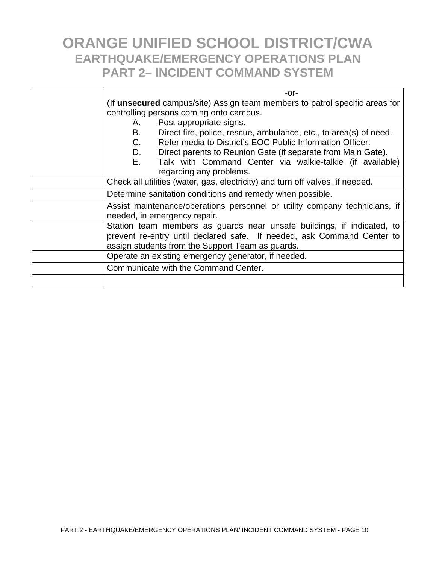| $-0r-$                                                                                                                                                                                               |  |
|------------------------------------------------------------------------------------------------------------------------------------------------------------------------------------------------------|--|
| (If unsecured campus/site) Assign team members to patrol specific areas for<br>controlling persons coming onto campus.                                                                               |  |
| Post appropriate signs.<br>А.                                                                                                                                                                        |  |
| B.<br>Direct fire, police, rescue, ambulance, etc., to area(s) of need.                                                                                                                              |  |
| C.<br>Refer media to District's EOC Public Information Officer.                                                                                                                                      |  |
| D.<br>Direct parents to Reunion Gate (if separate from Main Gate).                                                                                                                                   |  |
| $E_{\rm{max}}$<br>Talk with Command Center via walkie-talkie (if available)                                                                                                                          |  |
| regarding any problems.                                                                                                                                                                              |  |
| Check all utilities (water, gas, electricity) and turn off valves, if needed.                                                                                                                        |  |
| Determine sanitation conditions and remedy when possible.                                                                                                                                            |  |
| Assist maintenance/operations personnel or utility company technicians, if<br>needed, in emergency repair.                                                                                           |  |
| Station team members as guards near unsafe buildings, if indicated, to<br>prevent re-entry until declared safe. If needed, ask Command Center to<br>assign students from the Support Team as guards. |  |
| Operate an existing emergency generator, if needed.                                                                                                                                                  |  |
| Communicate with the Command Center.                                                                                                                                                                 |  |
|                                                                                                                                                                                                      |  |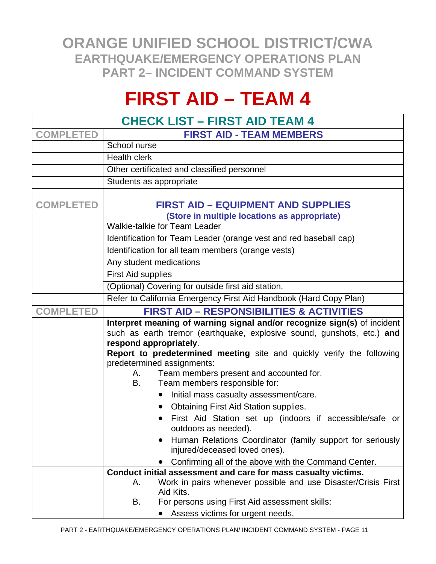# **FIRST AID – TEAM 4**

| <b>CHECK LIST - FIRST AID TEAM 4</b> |                                                                                                     |  |
|--------------------------------------|-----------------------------------------------------------------------------------------------------|--|
| <b>COMPLETED</b>                     | <b>FIRST AID - TEAM MEMBERS</b>                                                                     |  |
|                                      | School nurse                                                                                        |  |
|                                      | <b>Health clerk</b>                                                                                 |  |
|                                      | Other certificated and classified personnel                                                         |  |
|                                      | Students as appropriate                                                                             |  |
|                                      |                                                                                                     |  |
| <b>COMPLETED</b>                     | <b>FIRST AID - EQUIPMENT AND SUPPLIES</b>                                                           |  |
|                                      | (Store in multiple locations as appropriate)                                                        |  |
|                                      | Walkie-talkie for Team Leader                                                                       |  |
|                                      | Identification for Team Leader (orange vest and red baseball cap)                                   |  |
|                                      | Identification for all team members (orange vests)                                                  |  |
|                                      | Any student medications                                                                             |  |
|                                      | First Aid supplies                                                                                  |  |
|                                      | (Optional) Covering for outside first aid station.                                                  |  |
|                                      | Refer to California Emergency First Aid Handbook (Hard Copy Plan)                                   |  |
| <b>COMPLETED</b>                     | <b>FIRST AID - RESPONSIBILITIES &amp; ACTIVITIES</b>                                                |  |
|                                      | Interpret meaning of warning signal and/or recognize sign(s) of incident                            |  |
|                                      | such as earth tremor (earthquake, explosive sound, gunshots, etc.) and                              |  |
|                                      | respond appropriately.                                                                              |  |
|                                      | Report to predetermined meeting site and quickly verify the following<br>predetermined assignments: |  |
|                                      | Team members present and accounted for.<br>А.                                                       |  |
|                                      | Team members responsible for:<br>B.                                                                 |  |
|                                      | Initial mass casualty assessment/care.                                                              |  |
|                                      | <b>Obtaining First Aid Station supplies.</b>                                                        |  |
|                                      | First Aid Station set up (indoors if accessible/safe or                                             |  |
|                                      | outdoors as needed).                                                                                |  |
|                                      | Human Relations Coordinator (family support for seriously                                           |  |
|                                      | injured/deceased loved ones).                                                                       |  |
|                                      | Confirming all of the above with the Command Center.                                                |  |
|                                      | Conduct initial assessment and care for mass casualty victims.                                      |  |
|                                      | Work in pairs whenever possible and use Disaster/Crisis First<br>А.<br>Aid Kits.                    |  |
|                                      | For persons using <b>First Aid assessment skills:</b><br>В.                                         |  |
|                                      | Assess victims for urgent needs.                                                                    |  |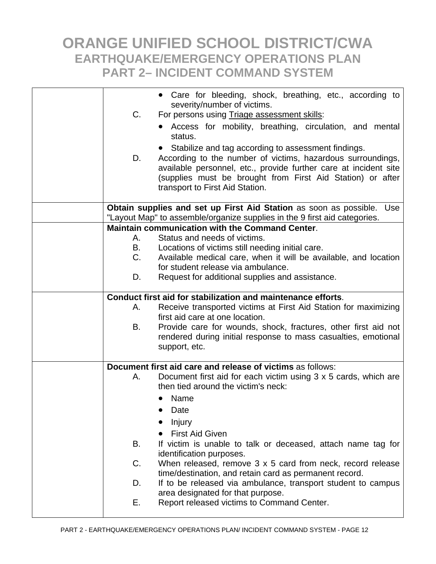| C.<br>D.                                                                  | • Care for bleeding, shock, breathing, etc., according to<br>severity/number of victims.<br>For persons using Triage assessment skills:<br>Access for mobility, breathing, circulation, and mental<br>status.<br>Stabilize and tag according to assessment findings.<br>According to the number of victims, hazardous surroundings,<br>available personnel, etc., provide further care at incident site<br>(supplies must be brought from First Aid Station) or after |  |
|---------------------------------------------------------------------------|-----------------------------------------------------------------------------------------------------------------------------------------------------------------------------------------------------------------------------------------------------------------------------------------------------------------------------------------------------------------------------------------------------------------------------------------------------------------------|--|
|                                                                           | transport to First Aid Station.<br>Obtain supplies and set up First Aid Station as soon as possible.<br>Use                                                                                                                                                                                                                                                                                                                                                           |  |
| "Layout Map" to assemble/organize supplies in the 9 first aid categories. |                                                                                                                                                                                                                                                                                                                                                                                                                                                                       |  |
|                                                                           | <b>Maintain communication with the Command Center.</b>                                                                                                                                                                                                                                                                                                                                                                                                                |  |
| А.                                                                        | Status and needs of victims.                                                                                                                                                                                                                                                                                                                                                                                                                                          |  |
| B.                                                                        | Locations of victims still needing initial care.                                                                                                                                                                                                                                                                                                                                                                                                                      |  |
| C.                                                                        | Available medical care, when it will be available, and location                                                                                                                                                                                                                                                                                                                                                                                                       |  |
| D.                                                                        | for student release via ambulance.<br>Request for additional supplies and assistance.                                                                                                                                                                                                                                                                                                                                                                                 |  |
|                                                                           |                                                                                                                                                                                                                                                                                                                                                                                                                                                                       |  |
| Conduct first aid for stabilization and maintenance efforts.              |                                                                                                                                                                                                                                                                                                                                                                                                                                                                       |  |
| А.                                                                        | Receive transported victims at First Aid Station for maximizing                                                                                                                                                                                                                                                                                                                                                                                                       |  |
|                                                                           | first aid care at one location.                                                                                                                                                                                                                                                                                                                                                                                                                                       |  |
| В.                                                                        | Provide care for wounds, shock, fractures, other first aid not                                                                                                                                                                                                                                                                                                                                                                                                        |  |
|                                                                           | rendered during initial response to mass casualties, emotional<br>support, etc.                                                                                                                                                                                                                                                                                                                                                                                       |  |
|                                                                           |                                                                                                                                                                                                                                                                                                                                                                                                                                                                       |  |
|                                                                           | Document first aid care and release of victims as follows:                                                                                                                                                                                                                                                                                                                                                                                                            |  |
| А.                                                                        | Document first aid for each victim using 3 x 5 cards, which are<br>then tied around the victim's neck:                                                                                                                                                                                                                                                                                                                                                                |  |
|                                                                           | Name<br>$\bullet$                                                                                                                                                                                                                                                                                                                                                                                                                                                     |  |
|                                                                           | Date                                                                                                                                                                                                                                                                                                                                                                                                                                                                  |  |
|                                                                           | Injury                                                                                                                                                                                                                                                                                                                                                                                                                                                                |  |
|                                                                           | <b>First Aid Given</b>                                                                                                                                                                                                                                                                                                                                                                                                                                                |  |
| В.                                                                        | If victim is unable to talk or deceased, attach name tag for                                                                                                                                                                                                                                                                                                                                                                                                          |  |
|                                                                           | identification purposes.                                                                                                                                                                                                                                                                                                                                                                                                                                              |  |
| C.                                                                        | When released, remove 3 x 5 card from neck, record release<br>time/destination, and retain card as permanent record.                                                                                                                                                                                                                                                                                                                                                  |  |
| D.                                                                        | If to be released via ambulance, transport student to campus                                                                                                                                                                                                                                                                                                                                                                                                          |  |
|                                                                           | area designated for that purpose.                                                                                                                                                                                                                                                                                                                                                                                                                                     |  |
| Е.                                                                        | Report released victims to Command Center.                                                                                                                                                                                                                                                                                                                                                                                                                            |  |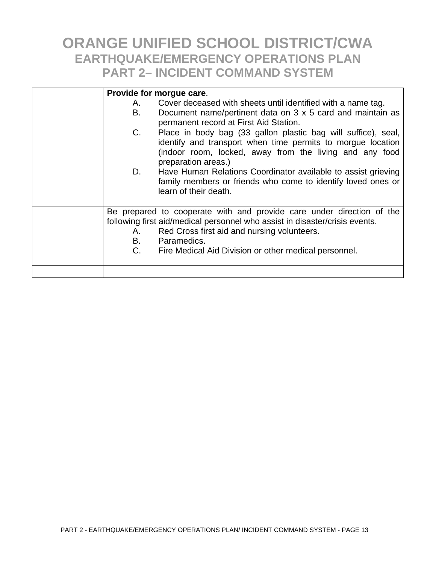| Provide for morgue care. |                                                                                                                                                                                                                                                                                 |  |
|--------------------------|---------------------------------------------------------------------------------------------------------------------------------------------------------------------------------------------------------------------------------------------------------------------------------|--|
| А.<br>В.                 | Cover deceased with sheets until identified with a name tag.<br>Document name/pertinent data on 3 x 5 card and maintain as<br>permanent record at First Aid Station.                                                                                                            |  |
| C.<br>D.                 | Place in body bag (33 gallon plastic bag will suffice), seal,<br>identify and transport when time permits to morgue location<br>(indoor room, locked, away from the living and any food<br>preparation areas.)<br>Have Human Relations Coordinator available to assist grieving |  |
|                          | family members or friends who come to identify loved ones or<br>learn of their death.                                                                                                                                                                                           |  |
| А.<br>B.<br>C.           | Be prepared to cooperate with and provide care under direction of the<br>following first aid/medical personnel who assist in disaster/crisis events.<br>Red Cross first aid and nursing volunteers.<br>Paramedics.<br>Fire Medical Aid Division or other medical personnel.     |  |
|                          |                                                                                                                                                                                                                                                                                 |  |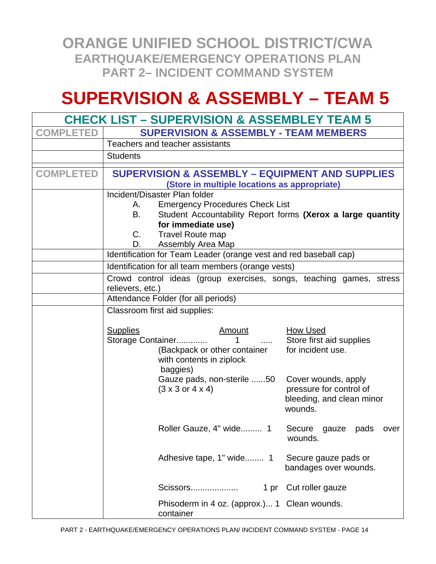## **SUPERVISION & ASSEMBLY – TEAM 5**

| <b>CHECK LIST – SUPERVISION &amp; ASSEMBLEY TEAM 5</b> |                                                                                                            |                                                                 |  |
|--------------------------------------------------------|------------------------------------------------------------------------------------------------------------|-----------------------------------------------------------------|--|
| <b>COMPLETED</b>                                       | <b>SUPERVISION &amp; ASSEMBLY - TEAM MEMBERS</b>                                                           |                                                                 |  |
|                                                        | Teachers and teacher assistants                                                                            |                                                                 |  |
|                                                        | <b>Students</b>                                                                                            |                                                                 |  |
| <b>COMPLETED</b>                                       | <b>SUPERVISION &amp; ASSEMBLY - EQUIPMENT AND SUPPLIES</b><br>(Store in multiple locations as appropriate) |                                                                 |  |
|                                                        | Incident/Disaster Plan folder                                                                              |                                                                 |  |
|                                                        | <b>Emergency Procedures Check List</b><br>A.<br>В.                                                         |                                                                 |  |
|                                                        | Student Accountability Report forms (Xerox a large quantity<br>for immediate use)                          |                                                                 |  |
|                                                        | C.<br><b>Travel Route map</b>                                                                              |                                                                 |  |
|                                                        | Assembly Area Map<br>D.                                                                                    |                                                                 |  |
|                                                        | Identification for Team Leader (orange vest and red baseball cap)                                          |                                                                 |  |
|                                                        | Identification for all team members (orange vests)                                                         |                                                                 |  |
|                                                        | Crowd control ideas (group exercises, songs, teaching games, stress<br>relievers, etc.)                    |                                                                 |  |
|                                                        | Attendance Folder (for all periods)                                                                        |                                                                 |  |
|                                                        | Classroom first aid supplies:                                                                              |                                                                 |  |
|                                                        |                                                                                                            |                                                                 |  |
|                                                        | <b>Supplies</b><br><u>Amount</u>                                                                           | <b>How Used</b>                                                 |  |
|                                                        | Storage Container<br>1<br>$\cdots$<br>(Backpack or other container                                         | Store first aid supplies<br>for incident use.                   |  |
|                                                        | with contents in ziplock<br>baggies)                                                                       |                                                                 |  |
|                                                        | Gauze pads, non-sterile 50                                                                                 | Cover wounds, apply                                             |  |
|                                                        | $(3 \times 3 \text{ or } 4 \times 4)$                                                                      | pressure for control of<br>bleeding, and clean minor<br>wounds. |  |
|                                                        | Roller Gauze, 4" wide 1                                                                                    | Secure gauze pads over<br>wounds.                               |  |
|                                                        | Adhesive tape, 1" wide 1                                                                                   | Secure gauze pads or<br>bandages over wounds.                   |  |
|                                                        | Scissors<br>1 pr                                                                                           | Cut roller gauze                                                |  |
|                                                        | Phisoderm in 4 oz. (approx.) 1 Clean wounds.<br>container                                                  |                                                                 |  |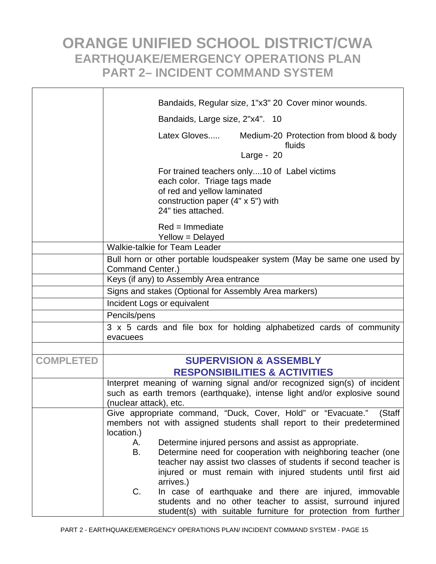|                  | Bandaids, Regular size, 1"x3" 20 Cover minor wounds.                                                                                             |
|------------------|--------------------------------------------------------------------------------------------------------------------------------------------------|
|                  | Bandaids, Large size, 2"x4". 10                                                                                                                  |
|                  | Latex Gloves<br>Medium-20 Protection from blood & body                                                                                           |
|                  | fluids<br>Large - $20$                                                                                                                           |
|                  |                                                                                                                                                  |
|                  | For trained teachers only10 of Label victims                                                                                                     |
|                  | each color. Triage tags made<br>of red and yellow laminated                                                                                      |
|                  | construction paper $(4" \times 5")$ with                                                                                                         |
|                  | 24" ties attached.                                                                                                                               |
|                  | $Red = Immediate$                                                                                                                                |
|                  | Yellow = Delayed                                                                                                                                 |
|                  | Walkie-talkie for Team Leader                                                                                                                    |
|                  | Bull horn or other portable loudspeaker system (May be same one used by<br>Command Center.)                                                      |
|                  | Keys (if any) to Assembly Area entrance                                                                                                          |
|                  | Signs and stakes (Optional for Assembly Area markers)                                                                                            |
|                  | Incident Logs or equivalent                                                                                                                      |
|                  | Pencils/pens                                                                                                                                     |
|                  | 3 x 5 cards and file box for holding alphabetized cards of community                                                                             |
|                  | evacuees                                                                                                                                         |
|                  |                                                                                                                                                  |
| <b>COMPLETED</b> | <b>SUPERVISION &amp; ASSEMBLY</b>                                                                                                                |
|                  | <b>RESPONSIBILITIES &amp; ACTIVITIES</b>                                                                                                         |
|                  | Interpret meaning of warning signal and/or recognized sign(s) of incident                                                                        |
|                  | such as earth tremors (earthquake), intense light and/or explosive sound                                                                         |
|                  | (nuclear attack), etc.                                                                                                                           |
|                  | Give appropriate command, "Duck, Cover, Hold" or "Evacuate."<br>(Staff<br>members not with assigned students shall report to their predetermined |
|                  | location.)                                                                                                                                       |
|                  | Determine injured persons and assist as appropriate.<br>А.                                                                                       |
|                  | Determine need for cooperation with neighboring teacher (one<br>В.                                                                               |
|                  | teacher nay assist two classes of students if second teacher is                                                                                  |
|                  | injured or must remain with injured students until first aid                                                                                     |
|                  | arrives.)                                                                                                                                        |
|                  | In case of earthquake and there are injured, immovable<br>C.                                                                                     |
|                  | students and no other teacher to assist, surround injured<br>student(s) with suitable furniture for protection from further                      |
|                  |                                                                                                                                                  |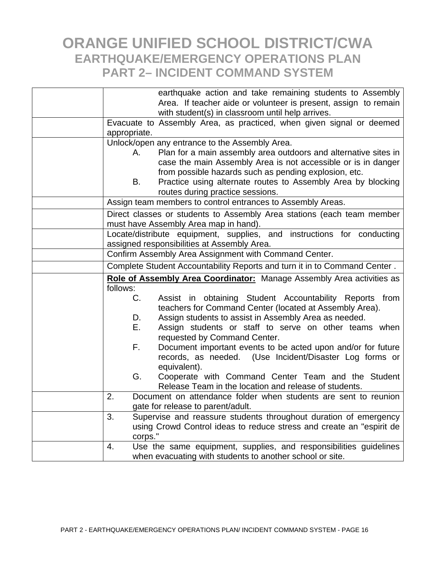|              | earthquake action and take remaining students to Assembly                                                                                |
|--------------|------------------------------------------------------------------------------------------------------------------------------------------|
|              | Area. If teacher aide or volunteer is present, assign to remain                                                                          |
|              | with student(s) in classroom until help arrives.                                                                                         |
|              | Evacuate to Assembly Area, as practiced, when given signal or deemed                                                                     |
| appropriate. |                                                                                                                                          |
|              | Unlock/open any entrance to the Assembly Area.                                                                                           |
| А.           | Plan for a main assembly area outdoors and alternative sites in                                                                          |
|              | case the main Assembly Area is not accessible or is in danger                                                                            |
|              | from possible hazards such as pending explosion, etc.                                                                                    |
| В.           | Practice using alternate routes to Assembly Area by blocking                                                                             |
|              | routes during practice sessions.                                                                                                         |
|              | Assign team members to control entrances to Assembly Areas.                                                                              |
|              | Direct classes or students to Assembly Area stations (each team member<br>must have Assembly Area map in hand).                          |
|              | Locate/distribute equipment, supplies, and instructions for conducting                                                                   |
|              | assigned responsibilities at Assembly Area.                                                                                              |
|              | Confirm Assembly Area Assignment with Command Center.                                                                                    |
|              | Complete Student Accountability Reports and turn it in to Command Center.                                                                |
|              |                                                                                                                                          |
|              |                                                                                                                                          |
| follows:     | Role of Assembly Area Coordinator: Manage Assembly Area activities as                                                                    |
| C.           | Assist in obtaining Student Accountability Reports from                                                                                  |
|              | teachers for Command Center (located at Assembly Area).                                                                                  |
| D.           | Assign students to assist in Assembly Area as needed.                                                                                    |
| Е.           | Assign students or staff to serve on other teams when                                                                                    |
|              | requested by Command Center.                                                                                                             |
| F.           | Document important events to be acted upon and/or for future                                                                             |
|              | records, as needed. (Use Incident/Disaster Log forms or                                                                                  |
|              | equivalent).                                                                                                                             |
| G.           | Cooperate with Command Center Team and the Student                                                                                       |
| 2.           | Release Team in the location and release of students.                                                                                    |
|              | Document on attendance folder when students are sent to reunion                                                                          |
| 3.           | gate for release to parent/adult.                                                                                                        |
|              | Supervise and reassure students throughout duration of emergency<br>using Crowd Control ideas to reduce stress and create an "espirit de |
| corps."      |                                                                                                                                          |
| 4.           | Use the same equipment, supplies, and responsibilities guidelines                                                                        |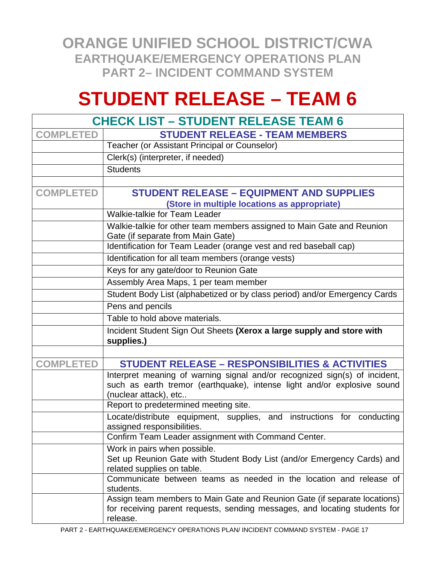# **STUDENT RELEASE – TEAM 6**

|                  | <b>CHECK LIST - STUDENT RELEASE TEAM 6</b>                                                                                                                                     |
|------------------|--------------------------------------------------------------------------------------------------------------------------------------------------------------------------------|
| <b>COMPLETED</b> | <b>STUDENT RELEASE - TEAM MEMBERS</b>                                                                                                                                          |
|                  | Teacher (or Assistant Principal or Counselor)                                                                                                                                  |
|                  | Clerk(s) (interpreter, if needed)                                                                                                                                              |
|                  | <b>Students</b>                                                                                                                                                                |
|                  |                                                                                                                                                                                |
| <b>COMPLETED</b> | <b>STUDENT RELEASE - EQUIPMENT AND SUPPLIES</b>                                                                                                                                |
|                  | (Store in multiple locations as appropriate)                                                                                                                                   |
|                  | Walkie-talkie for Team Leader                                                                                                                                                  |
|                  | Walkie-talkie for other team members assigned to Main Gate and Reunion<br>Gate (if separate from Main Gate)                                                                    |
|                  | Identification for Team Leader (orange vest and red baseball cap)                                                                                                              |
|                  | Identification for all team members (orange vests)                                                                                                                             |
|                  | Keys for any gate/door to Reunion Gate                                                                                                                                         |
|                  | Assembly Area Maps, 1 per team member                                                                                                                                          |
|                  | Student Body List (alphabetized or by class period) and/or Emergency Cards                                                                                                     |
|                  | Pens and pencils                                                                                                                                                               |
|                  | Table to hold above materials.                                                                                                                                                 |
|                  | Incident Student Sign Out Sheets (Xerox a large supply and store with                                                                                                          |
|                  | supplies.)                                                                                                                                                                     |
|                  |                                                                                                                                                                                |
| <b>COMPLETED</b> | <b>STUDENT RELEASE - RESPONSIBILITIES &amp; ACTIVITIES</b>                                                                                                                     |
|                  | Interpret meaning of warning signal and/or recognized sign(s) of incident,<br>such as earth tremor (earthquake), intense light and/or explosive sound<br>(nuclear attack), etc |
|                  | Report to predetermined meeting site.                                                                                                                                          |
|                  | Locate/distribute equipment, supplies, and instructions for conducting<br>assigned responsibilities.                                                                           |
|                  | Confirm Team Leader assignment with Command Center.                                                                                                                            |
|                  | Work in pairs when possible.                                                                                                                                                   |
|                  | Set up Reunion Gate with Student Body List (and/or Emergency Cards) and<br>related supplies on table.                                                                          |
|                  | Communicate between teams as needed in the location and release of<br>students.                                                                                                |
|                  | Assign team members to Main Gate and Reunion Gate (if separate locations)<br>for receiving parent requests, sending messages, and locating students for<br>release.            |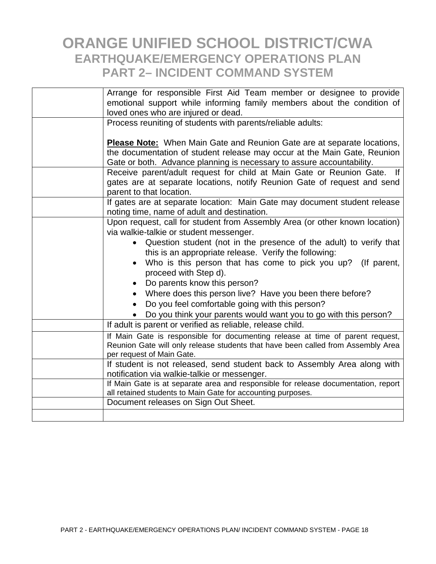| Arrange for responsible First Aid Team member or designee to provide<br>emotional support while informing family members about the condition of<br>loved ones who are injured or dead.                                              |
|-------------------------------------------------------------------------------------------------------------------------------------------------------------------------------------------------------------------------------------|
| Process reuniting of students with parents/reliable adults:                                                                                                                                                                         |
|                                                                                                                                                                                                                                     |
| <b>Please Note:</b> When Main Gate and Reunion Gate are at separate locations,<br>the documentation of student release may occur at the Main Gate, Reunion<br>Gate or both. Advance planning is necessary to assure accountability. |
| Receive parent/adult request for child at Main Gate or Reunion Gate.<br><b>If</b>                                                                                                                                                   |
| gates are at separate locations, notify Reunion Gate of request and send<br>parent to that location.                                                                                                                                |
| If gates are at separate location: Main Gate may document student release                                                                                                                                                           |
| noting time, name of adult and destination.                                                                                                                                                                                         |
| Upon request, call for student from Assembly Area (or other known location)                                                                                                                                                         |
| via walkie-talkie or student messenger.                                                                                                                                                                                             |
| Question student (not in the presence of the adult) to verify that                                                                                                                                                                  |
| this is an appropriate release. Verify the following:                                                                                                                                                                               |
| Who is this person that has come to pick you up?<br>(If parent,<br>$\bullet$<br>proceed with Step d).                                                                                                                               |
| Do parents know this person?                                                                                                                                                                                                        |
| Where does this person live? Have you been there before?                                                                                                                                                                            |
| Do you feel comfortable going with this person?                                                                                                                                                                                     |
| Do you think your parents would want you to go with this person?                                                                                                                                                                    |
| If adult is parent or verified as reliable, release child.                                                                                                                                                                          |
| If Main Gate is responsible for documenting release at time of parent request,                                                                                                                                                      |
| Reunion Gate will only release students that have been called from Assembly Area                                                                                                                                                    |
| per request of Main Gate.                                                                                                                                                                                                           |
| If student is not released, send student back to Assembly Area along with                                                                                                                                                           |
| notification via walkie-talkie or messenger.                                                                                                                                                                                        |
| If Main Gate is at separate area and responsible for release documentation, report                                                                                                                                                  |
| all retained students to Main Gate for accounting purposes.                                                                                                                                                                         |
| Document releases on Sign Out Sheet.                                                                                                                                                                                                |
|                                                                                                                                                                                                                                     |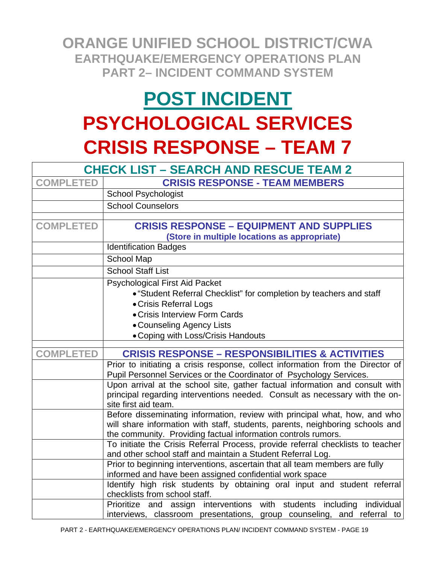# **POST INCIDENT PSYCHOLOGICAL SERVICES CRISIS RESPONSE – TEAM 7**

|                  | <b>CHECK LIST - SEARCH AND RESCUE TEAM 2</b>                                                                                                   |  |  |  |
|------------------|------------------------------------------------------------------------------------------------------------------------------------------------|--|--|--|
| <b>COMPLETED</b> | <b>CRISIS RESPONSE - TEAM MEMBERS</b>                                                                                                          |  |  |  |
|                  | <b>School Psychologist</b>                                                                                                                     |  |  |  |
|                  | <b>School Counselors</b>                                                                                                                       |  |  |  |
|                  |                                                                                                                                                |  |  |  |
| <b>COMPLETED</b> | <b>CRISIS RESPONSE - EQUIPMENT AND SUPPLIES</b>                                                                                                |  |  |  |
|                  | (Store in multiple locations as appropriate)                                                                                                   |  |  |  |
|                  | <b>Identification Badges</b>                                                                                                                   |  |  |  |
|                  | School Map                                                                                                                                     |  |  |  |
|                  | <b>School Staff List</b>                                                                                                                       |  |  |  |
|                  | <b>Psychological First Aid Packet</b>                                                                                                          |  |  |  |
|                  | • "Student Referral Checklist" for completion by teachers and staff                                                                            |  |  |  |
|                  | • Crisis Referral Logs                                                                                                                         |  |  |  |
|                  | • Crisis Interview Form Cards                                                                                                                  |  |  |  |
|                  | • Counseling Agency Lists                                                                                                                      |  |  |  |
|                  | • Coping with Loss/Crisis Handouts                                                                                                             |  |  |  |
| <b>COMPLETED</b> | <b>CRISIS RESPONSE - RESPONSIBILITIES &amp; ACTIVITIES</b>                                                                                     |  |  |  |
|                  | Prior to initiating a crisis response, collect information from the Director of                                                                |  |  |  |
|                  | Pupil Personnel Services or the Coordinator of Psychology Services.                                                                            |  |  |  |
|                  | Upon arrival at the school site, gather factual information and consult with                                                                   |  |  |  |
|                  | principal regarding interventions needed. Consult as necessary with the on-<br>site first aid team.                                            |  |  |  |
|                  | Before disseminating information, review with principal what, how, and who                                                                     |  |  |  |
|                  | will share information with staff, students, parents, neighboring schools and                                                                  |  |  |  |
|                  | the community. Providing factual information controls rumors.                                                                                  |  |  |  |
|                  | To initiate the Crisis Referral Process, provide referral checklists to teacher<br>and other school staff and maintain a Student Referral Log. |  |  |  |
|                  | Prior to beginning interventions, ascertain that all team members are fully                                                                    |  |  |  |
|                  | informed and have been assigned confidential work space                                                                                        |  |  |  |
|                  | Identify high risk students by obtaining oral input and student referral                                                                       |  |  |  |
|                  | checklists from school staff.                                                                                                                  |  |  |  |
|                  | Prioritize and assign interventions with students including individual                                                                         |  |  |  |
|                  | interviews, classroom presentations, group counseling, and referral to                                                                         |  |  |  |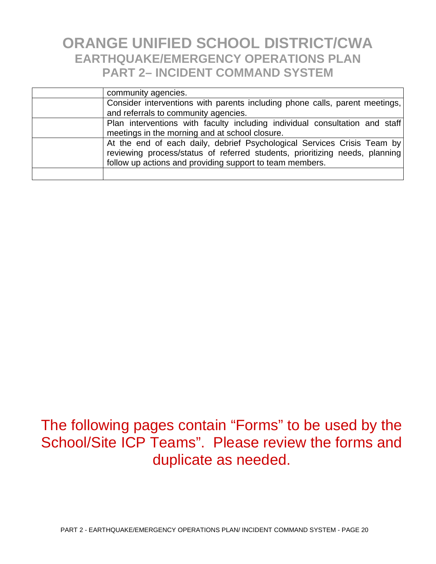| community agencies.                                                                                                                                                                                                |
|--------------------------------------------------------------------------------------------------------------------------------------------------------------------------------------------------------------------|
| Consider interventions with parents including phone calls, parent meetings,<br>and referrals to community agencies.                                                                                                |
|                                                                                                                                                                                                                    |
| Plan interventions with faculty including individual consultation and staff<br>meetings in the morning and at school closure.                                                                                      |
| At the end of each daily, debrief Psychological Services Crisis Team by<br>reviewing process/status of referred students, prioritizing needs, planning<br>follow up actions and providing support to team members. |
|                                                                                                                                                                                                                    |

### The following pages contain "Forms" to be used by the School/Site ICP Teams". Please review the forms and duplicate as needed.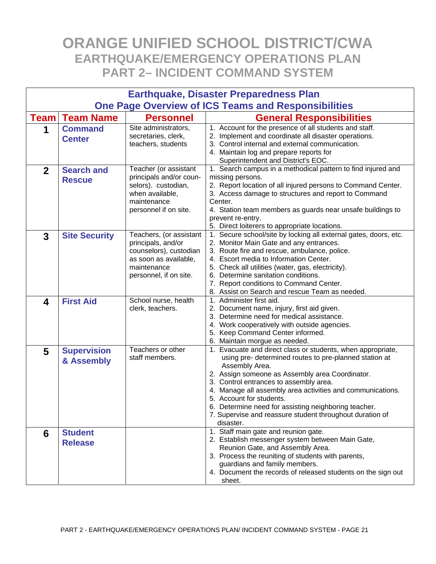| <b>Earthquake, Disaster Preparedness Plan</b> |                                                            |                                                                                                                                           |                                                                                                                                                                                                                                                                                                                                                                                                                                                                 |  |  |  |  |
|-----------------------------------------------|------------------------------------------------------------|-------------------------------------------------------------------------------------------------------------------------------------------|-----------------------------------------------------------------------------------------------------------------------------------------------------------------------------------------------------------------------------------------------------------------------------------------------------------------------------------------------------------------------------------------------------------------------------------------------------------------|--|--|--|--|
|                                               | <b>One Page Overview of ICS Teams and Responsibilities</b> |                                                                                                                                           |                                                                                                                                                                                                                                                                                                                                                                                                                                                                 |  |  |  |  |
| <b>Team</b>                                   | <b>Team Name</b>                                           | <b>Personnel</b>                                                                                                                          | <b>General Responsibilities</b>                                                                                                                                                                                                                                                                                                                                                                                                                                 |  |  |  |  |
| 1                                             | <b>Command</b><br><b>Center</b>                            | Site administrators,<br>secretaries, clerk,<br>teachers, students                                                                         | 1. Account for the presence of all students and staff.<br>2. Implement and coordinate all disaster operations.<br>3. Control internal and external communication.<br>4. Maintain log and prepare reports for<br>Superintendent and District's EOC.                                                                                                                                                                                                              |  |  |  |  |
| $\overline{2}$                                | <b>Search and</b><br><b>Rescue</b>                         | Teacher (or assistant<br>principals and/or coun-<br>selors). custodian,<br>when available,<br>maintenance<br>personnel if on site.        | 1. Search campus in a methodical pattern to find injured and<br>missing persons.<br>2. Report location of all injured persons to Command Center.<br>3. Access damage to structures and report to Command<br>Center.<br>4. Station team members as guards near unsafe buildings to<br>prevent re-entry.<br>5. Direct loiterers to appropriate locations.                                                                                                         |  |  |  |  |
| 3                                             | <b>Site Security</b>                                       | Teachers, (or assistant<br>principals, and/or<br>counselors), custodian<br>as soon as available,<br>maintenance<br>personnel, if on site. | 1. Secure school/site by locking all external gates, doors, etc.<br>2. Monitor Main Gate and any entrances.<br>3. Route fire and rescue, ambulance, police.<br>4. Escort media to Information Center.<br>5. Check all utilities (water, gas, electricity).<br>6. Determine sanitation conditions.<br>7. Report conditions to Command Center.<br>8. Assist on Search and rescue Team as needed.                                                                  |  |  |  |  |
| 4                                             | <b>First Aid</b>                                           | School nurse, health<br>clerk, teachers.                                                                                                  | 1. Administer first aid.<br>2. Document name, injury, first aid given.<br>3. Determine need for medical assistance.<br>4. Work cooperatively with outside agencies.<br>5. Keep Command Center informed.<br>6. Maintain morgue as needed.                                                                                                                                                                                                                        |  |  |  |  |
| 5                                             | <b>Supervision</b><br>& Assembly                           | Teachers or other<br>staff members.                                                                                                       | 1. Evacuate and direct class or students, when appropriate,<br>using pre- determined routes to pre-planned station at<br>Assembly Area.<br>2. Assign someone as Assembly area Coordinator.<br>3. Control entrances to assembly area.<br>4. Manage all assembly area activities and communications.<br>5. Account for students.<br>6. Determine need for assisting neighboring teacher.<br>7. Supervise and reassure student throughout duration of<br>disaster. |  |  |  |  |
| 6                                             | <b>Student</b><br><b>Release</b>                           |                                                                                                                                           | 1. Staff main gate and reunion gate.<br>2. Establish messenger system between Main Gate,<br>Reunion Gate, and Assembly Area.<br>3. Process the reuniting of students with parents,<br>guardians and family members.<br>4. Document the records of released students on the sign out<br>sheet.                                                                                                                                                                   |  |  |  |  |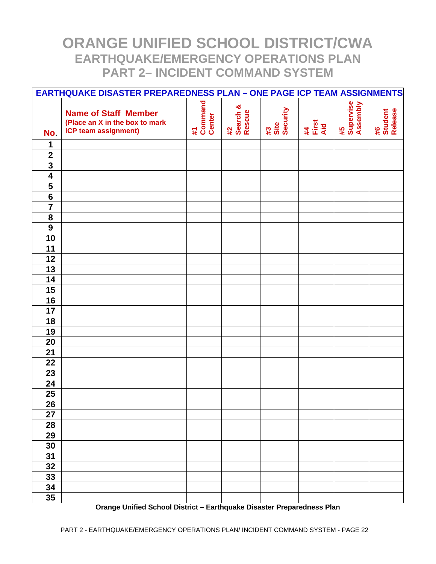|                                                    | <b>EARTHQUAKE DISASTER PREPAREDNESS PLAN - ONE PAGE ICP TEAM ASSIGNMENTS</b>                 |                         |                          |                        |                    |                             |                          |
|----------------------------------------------------|----------------------------------------------------------------------------------------------|-------------------------|--------------------------|------------------------|--------------------|-----------------------------|--------------------------|
|                                                    | <b>Name of Staff Member</b><br>(Place an X in the box to mark<br><b>ICP team assignment)</b> | #1<br>Command<br>Center | #2<br>Search &<br>Rescue | #3<br>Site<br>Security | #4<br>First<br>Aid | #5<br>Supervise<br>Assembly | #6<br>Student<br>Release |
| No.                                                |                                                                                              |                         |                          |                        |                    |                             |                          |
| 1                                                  |                                                                                              |                         |                          |                        |                    |                             |                          |
| $\mathbf{2}$                                       |                                                                                              |                         |                          |                        |                    |                             |                          |
| $\overline{\mathbf{3}}$                            |                                                                                              |                         |                          |                        |                    |                             |                          |
| $\overline{\mathbf{4}}$<br>$\overline{\mathbf{5}}$ |                                                                                              |                         |                          |                        |                    |                             |                          |
| $\overline{\mathbf{6}}$                            |                                                                                              |                         |                          |                        |                    |                             |                          |
| $\overline{\mathbf{7}}$                            |                                                                                              |                         |                          |                        |                    |                             |                          |
| $\overline{\mathbf{8}}$                            |                                                                                              |                         |                          |                        |                    |                             |                          |
| 9                                                  |                                                                                              |                         |                          |                        |                    |                             |                          |
| 10                                                 |                                                                                              |                         |                          |                        |                    |                             |                          |
| 11                                                 |                                                                                              |                         |                          |                        |                    |                             |                          |
| 12                                                 |                                                                                              |                         |                          |                        |                    |                             |                          |
| 13                                                 |                                                                                              |                         |                          |                        |                    |                             |                          |
| 14                                                 |                                                                                              |                         |                          |                        |                    |                             |                          |
| 15                                                 |                                                                                              |                         |                          |                        |                    |                             |                          |
| 16                                                 |                                                                                              |                         |                          |                        |                    |                             |                          |
| 17                                                 |                                                                                              |                         |                          |                        |                    |                             |                          |
| 18                                                 |                                                                                              |                         |                          |                        |                    |                             |                          |
| 19                                                 |                                                                                              |                         |                          |                        |                    |                             |                          |
| 20                                                 |                                                                                              |                         |                          |                        |                    |                             |                          |
| 21                                                 |                                                                                              |                         |                          |                        |                    |                             |                          |
| 22                                                 |                                                                                              |                         |                          |                        |                    |                             |                          |
| 23                                                 |                                                                                              |                         |                          |                        |                    |                             |                          |
| 24                                                 |                                                                                              |                         |                          |                        |                    |                             |                          |
| 25                                                 |                                                                                              |                         |                          |                        |                    |                             |                          |
| 26                                                 |                                                                                              |                         |                          |                        |                    |                             |                          |
| 27                                                 |                                                                                              |                         |                          |                        |                    |                             |                          |
| 28                                                 |                                                                                              |                         |                          |                        |                    |                             |                          |
| 29                                                 |                                                                                              |                         |                          |                        |                    |                             |                          |
| 30                                                 |                                                                                              |                         |                          |                        |                    |                             |                          |
| 31                                                 |                                                                                              |                         |                          |                        |                    |                             |                          |
| 32                                                 |                                                                                              |                         |                          |                        |                    |                             |                          |
| 33                                                 |                                                                                              |                         |                          |                        |                    |                             |                          |
| 34                                                 |                                                                                              |                         |                          |                        |                    |                             |                          |
| 35                                                 |                                                                                              |                         |                          |                        |                    |                             |                          |

**Orange Unified School District – Earthquake Disaster Preparedness Plan**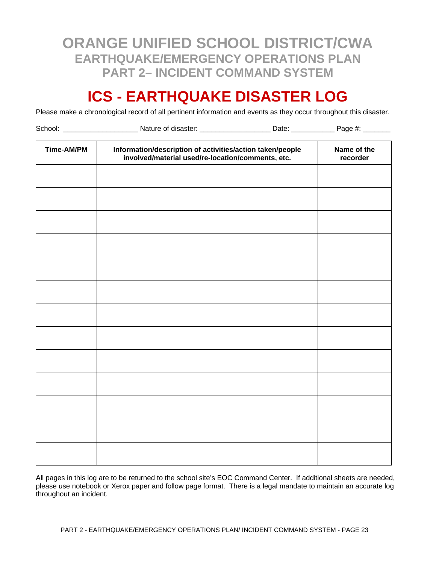### **ICS - EARTHQUAKE DISASTER LOG**

Please make a chronological record of all pertinent information and events as they occur throughout this disaster.

| School: ______________________ | _Nature of disaster: _______________________Date: _______________Page #: _______                               |                         |  |
|--------------------------------|----------------------------------------------------------------------------------------------------------------|-------------------------|--|
| Time-AM/PM                     | Information/description of activities/action taken/people<br>involved/material used/re-location/comments, etc. | Name of the<br>recorder |  |
|                                |                                                                                                                |                         |  |
|                                |                                                                                                                |                         |  |
|                                |                                                                                                                |                         |  |
|                                |                                                                                                                |                         |  |
|                                |                                                                                                                |                         |  |
|                                |                                                                                                                |                         |  |
|                                |                                                                                                                |                         |  |
|                                |                                                                                                                |                         |  |
|                                |                                                                                                                |                         |  |
|                                |                                                                                                                |                         |  |
|                                |                                                                                                                |                         |  |
|                                |                                                                                                                |                         |  |

All pages in this log are to be returned to the school site's EOC Command Center. If additional sheets are needed, please use notebook or Xerox paper and follow page format. There is a legal mandate to maintain an accurate log throughout an incident.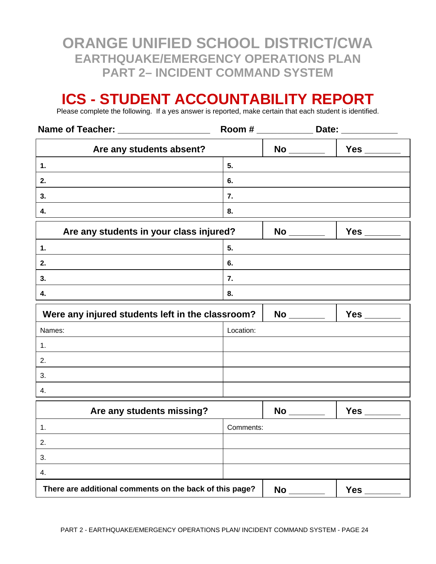### **ICS - STUDENT ACCOUNTABILITY REPORT**

Please complete the following. If a yes answer is reported, make certain that each student is identified.

| Name of Teacher: ___________________                                                                                                                                                                                                 |           |                                    | Room # ________________ Date: ______________ |
|--------------------------------------------------------------------------------------------------------------------------------------------------------------------------------------------------------------------------------------|-----------|------------------------------------|----------------------------------------------|
| Are any students absent?                                                                                                                                                                                                             |           |                                    | No ________   Yes ______                     |
| $\mathbf{1}$ .                                                                                                                                                                                                                       | 5.        |                                    |                                              |
| 2.                                                                                                                                                                                                                                   | 6.        |                                    |                                              |
| 3.                                                                                                                                                                                                                                   | 7.        |                                    |                                              |
| 4.                                                                                                                                                                                                                                   | 8.        |                                    |                                              |
| Are any students in your class injured?                                                                                                                                                                                              |           | No _______                         |                                              |
| 1.                                                                                                                                                                                                                                   | 5.        |                                    |                                              |
| 2.                                                                                                                                                                                                                                   | 6.        |                                    |                                              |
| 3.                                                                                                                                                                                                                                   | 7.        |                                    |                                              |
| 4.                                                                                                                                                                                                                                   | 8.        |                                    |                                              |
| Were any injured students left in the classroom?                                                                                                                                                                                     |           | No _______                         |                                              |
| Names:                                                                                                                                                                                                                               | Location: |                                    |                                              |
| 1.                                                                                                                                                                                                                                   |           |                                    |                                              |
| 2.                                                                                                                                                                                                                                   |           |                                    |                                              |
| 3.                                                                                                                                                                                                                                   |           |                                    |                                              |
| 4.                                                                                                                                                                                                                                   |           |                                    |                                              |
| <u>in the second contract of the second contract of the second contract of the second contract of the second contract of the second contract of the second contract of the second contract of the second contract of the second </u> |           | $\sim$ $\sim$ $\sim$ $\sim$ $\sim$ | $\sim$                                       |

| Are any students missing?                               |           | <b>No</b> | <b>Yes</b> |
|---------------------------------------------------------|-----------|-----------|------------|
|                                                         | Comments: |           |            |
| 2.                                                      |           |           |            |
| 3.                                                      |           |           |            |
| -4.                                                     |           |           |            |
| There are additional comments on the back of this page? |           | <b>No</b> | Yes        |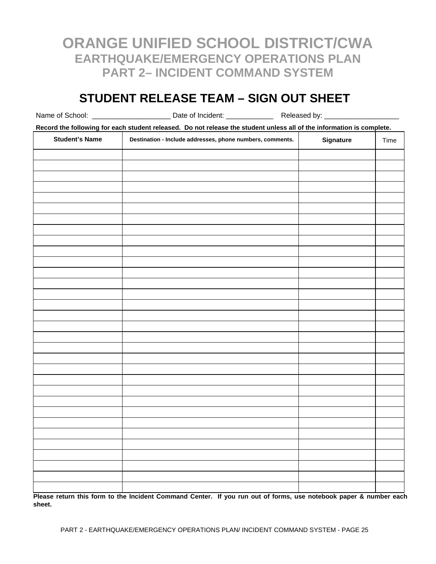#### **STUDENT RELEASE TEAM – SIGN OUT SHEET**

Name of School: \_\_\_\_\_\_\_\_\_\_\_\_\_\_\_\_\_\_\_\_\_\_\_\_\_\_\_\_ Date of Incident: \_\_\_\_\_\_\_\_\_\_\_\_\_\_\_\_\_\_\_\_\_\_\_\_ Released by: \_\_\_\_\_

**Record the following for each student released. Do not release the student unless all of the information is complete.** 

| <b>Student's Name</b> | Destination - Include addresses, phone numbers, comments. | Signature | Time |
|-----------------------|-----------------------------------------------------------|-----------|------|
|                       |                                                           |           |      |
|                       |                                                           |           |      |
|                       |                                                           |           |      |
|                       |                                                           |           |      |
|                       |                                                           |           |      |
|                       |                                                           |           |      |
|                       |                                                           |           |      |
|                       |                                                           |           |      |
|                       |                                                           |           |      |
|                       |                                                           |           |      |
|                       |                                                           |           |      |
|                       |                                                           |           |      |
|                       |                                                           |           |      |
|                       |                                                           |           |      |
|                       |                                                           |           |      |
|                       |                                                           |           |      |
|                       |                                                           |           |      |
|                       |                                                           |           |      |
|                       |                                                           |           |      |
|                       |                                                           |           |      |
|                       |                                                           |           |      |
|                       |                                                           |           |      |
|                       |                                                           |           |      |
|                       |                                                           |           |      |
|                       |                                                           |           |      |
|                       |                                                           |           |      |
|                       |                                                           |           |      |
|                       |                                                           |           |      |
|                       |                                                           |           |      |
|                       |                                                           |           |      |
|                       |                                                           |           |      |
|                       |                                                           |           |      |

**Please return this form to the Incident Command Center. If you run out of forms, use notebook paper & number each sheet.**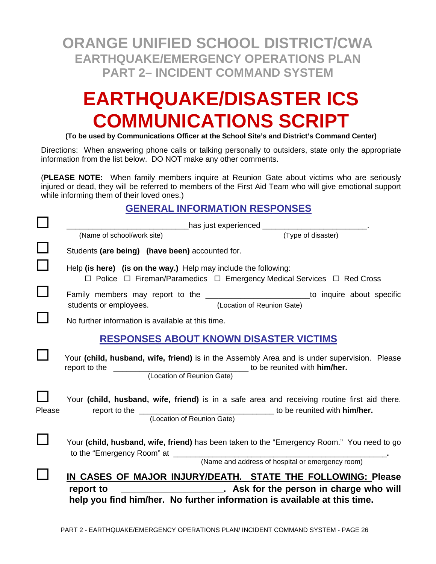# **EARTHQUAKE/DISASTER ICS COMMUNICATIONS SCRIPT**

**(To be used by Communications Officer at the School Site's and District's Command Center)**

Directions: When answering phone calls or talking personally to outsiders, state only the appropriate information from the list below. DO NOT make any other comments.

(**PLEASE NOTE:** When family members inquire at Reunion Gate about victims who are seriously injured or dead, they will be referred to members of the First Aid Team who will give emotional support while informing them of their loved ones.)

#### **GENERAL INFORMATION RESPONSES**

|        | ________has just experienced __________________________                                                                                                                                                                                                                           |  |
|--------|-----------------------------------------------------------------------------------------------------------------------------------------------------------------------------------------------------------------------------------------------------------------------------------|--|
|        | (Type of disaster)<br>(Name of school/work site)                                                                                                                                                                                                                                  |  |
|        | Students (are being) (have been) accounted for.                                                                                                                                                                                                                                   |  |
|        | Help (is here) (is on the way.) Help may include the following:<br>$\Box$ Police $\Box$ Fireman/Paramedics $\Box$ Emergency Medical Services $\Box$ Red Cross                                                                                                                     |  |
|        | Family members may report to the ____________________________to inquire about specific<br>students or employees. (Location of Reunion Gate)                                                                                                                                       |  |
|        | No further information is available at this time.                                                                                                                                                                                                                                 |  |
|        | <b>RESPONSES ABOUT KNOWN DISASTER VICTIMS</b>                                                                                                                                                                                                                                     |  |
|        | Your (child, husband, wife, friend) is in the Assembly Area and is under supervision. Please                                                                                                                                                                                      |  |
| Please | Your (child, husband, wife, friend) is in a safe area and receiving routine first aid there.<br>(Location of Reunion Gate)                                                                                                                                                        |  |
|        | Your (child, husband, wife, friend) has been taken to the "Emergency Room." You need to go                                                                                                                                                                                        |  |
|        | (Name and address of hospital or emergency room)<br>IN CASES OF MAJOR INJURY/DEATH. STATE THE FOLLOWING: Please<br>______________________________. Ask for the person in charge who will<br>report to<br>help you find him/her. No further information is available at this time. |  |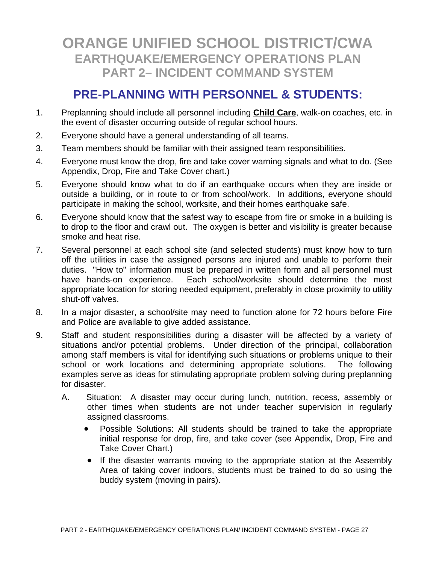#### **PRE-PLANNING WITH PERSONNEL & STUDENTS:**

- 1. Preplanning should include all personnel including **Child Care**, walk-on coaches, etc. in the event of disaster occurring outside of regular school hours.
- 2. Everyone should have a general understanding of all teams.
- 3. Team members should be familiar with their assigned team responsibilities.
- 4. Everyone must know the drop, fire and take cover warning signals and what to do. (See Appendix, Drop, Fire and Take Cover chart.)
- 5. Everyone should know what to do if an earthquake occurs when they are inside or outside a building, or in route to or from school/work. In additions, everyone should participate in making the school, worksite, and their homes earthquake safe.
- 6. Everyone should know that the safest way to escape from fire or smoke in a building is to drop to the floor and crawl out. The oxygen is better and visibility is greater because smoke and heat rise.
- 7. Several personnel at each school site (and selected students) must know how to turn off the utilities in case the assigned persons are injured and unable to perform their duties. "How to" information must be prepared in written form and all personnel must have hands-on experience. Each school/worksite should determine the most appropriate location for storing needed equipment, preferably in close proximity to utility shut-off valves.
- 8. In a major disaster, a school/site may need to function alone for 72 hours before Fire and Police are available to give added assistance.
- 9. Staff and student responsibilities during a disaster will be affected by a variety of situations and/or potential problems. Under direction of the principal, collaboration among staff members is vital for identifying such situations or problems unique to their school or work locations and determining appropriate solutions. The following examples serve as ideas for stimulating appropriate problem solving during preplanning for disaster.
	- A. Situation: A disaster may occur during lunch, nutrition, recess, assembly or other times when students are not under teacher supervision in regularly assigned classrooms.
		- Possible Solutions: All students should be trained to take the appropriate initial response for drop, fire, and take cover (see Appendix, Drop, Fire and Take Cover Chart.)
		- If the disaster warrants moving to the appropriate station at the Assembly Area of taking cover indoors, students must be trained to do so using the buddy system (moving in pairs).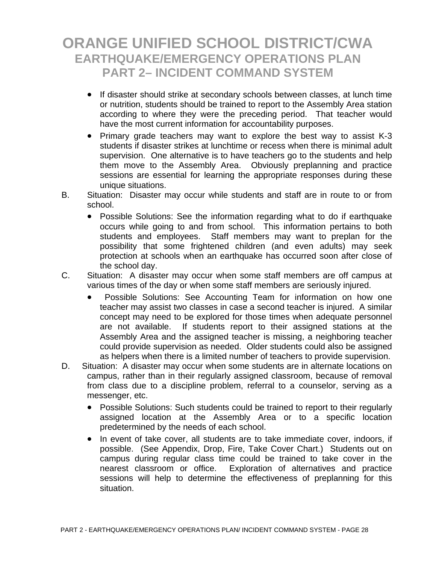- If disaster should strike at secondary schools between classes, at lunch time or nutrition, students should be trained to report to the Assembly Area station according to where they were the preceding period. That teacher would have the most current information for accountability purposes.
- Primary grade teachers may want to explore the best way to assist K-3 students if disaster strikes at lunchtime or recess when there is minimal adult supervision. One alternative is to have teachers go to the students and help them move to the Assembly Area. Obviously preplanning and practice sessions are essential for learning the appropriate responses during these unique situations.
- B. Situation: Disaster may occur while students and staff are in route to or from school.
	- Possible Solutions: See the information regarding what to do if earthquake occurs while going to and from school. This information pertains to both students and employees. Staff members may want to preplan for the possibility that some frightened children (and even adults) may seek protection at schools when an earthquake has occurred soon after close of the school day.
- C. Situation: A disaster may occur when some staff members are off campus at various times of the day or when some staff members are seriously injured.
	- Possible Solutions: See Accounting Team for information on how one teacher may assist two classes in case a second teacher is injured. A similar concept may need to be explored for those times when adequate personnel are not available. If students report to their assigned stations at the Assembly Area and the assigned teacher is missing, a neighboring teacher could provide supervision as needed. Older students could also be assigned as helpers when there is a limited number of teachers to provide supervision.
- D. Situation: A disaster may occur when some students are in alternate locations on campus, rather than in their regularly assigned classroom, because of removal from class due to a discipline problem, referral to a counselor, serving as a messenger, etc.
	- Possible Solutions: Such students could be trained to report to their regularly assigned location at the Assembly Area or to a specific location predetermined by the needs of each school.
	- In event of take cover, all students are to take immediate cover, indoors, if possible. (See Appendix, Drop, Fire, Take Cover Chart.) Students out on campus during regular class time could be trained to take cover in the nearest classroom or office. Exploration of alternatives and practice sessions will help to determine the effectiveness of preplanning for this situation.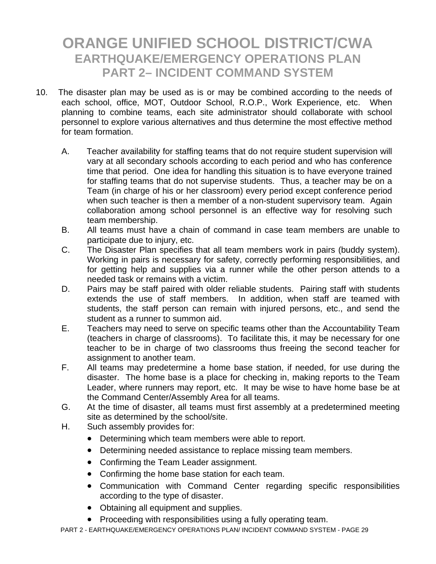- 10. The disaster plan may be used as is or may be combined according to the needs of each school, office, MOT, Outdoor School, R.O.P., Work Experience, etc. When planning to combine teams, each site administrator should collaborate with school personnel to explore various alternatives and thus determine the most effective method for team formation.
	- A. Teacher availability for staffing teams that do not require student supervision will vary at all secondary schools according to each period and who has conference time that period. One idea for handling this situation is to have everyone trained for staffing teams that do not supervise students. Thus, a teacher may be on a Team (in charge of his or her classroom) every period except conference period when such teacher is then a member of a non-student supervisory team. Again collaboration among school personnel is an effective way for resolving such team membership.
	- B. All teams must have a chain of command in case team members are unable to participate due to injury, etc.
	- C. The Disaster Plan specifies that all team members work in pairs (buddy system). Working in pairs is necessary for safety, correctly performing responsibilities, and for getting help and supplies via a runner while the other person attends to a needed task or remains with a victim.
	- D. Pairs may be staff paired with older reliable students. Pairing staff with students extends the use of staff members. In addition, when staff are teamed with students, the staff person can remain with injured persons, etc., and send the student as a runner to summon aid.
	- E. Teachers may need to serve on specific teams other than the Accountability Team (teachers in charge of classrooms). To facilitate this, it may be necessary for one teacher to be in charge of two classrooms thus freeing the second teacher for assignment to another team.
	- F. All teams may predetermine a home base station, if needed, for use during the disaster. The home base is a place for checking in, making reports to the Team Leader, where runners may report, etc. It may be wise to have home base be at the Command Center/Assembly Area for all teams.
	- G. At the time of disaster, all teams must first assembly at a predetermined meeting site as determined by the school/site.
	- H. Such assembly provides for:
		- Determining which team members were able to report.
		- Determining needed assistance to replace missing team members.
		- Confirming the Team Leader assignment.
		- Confirming the home base station for each team.
		- Communication with Command Center regarding specific responsibilities according to the type of disaster.
		- Obtaining all equipment and supplies.
		- Proceeding with responsibilities using a fully operating team.

PART 2 - EARTHQUAKE/EMERGENCY OPERATIONS PLAN/ INCIDENT COMMAND SYSTEM - PAGE 29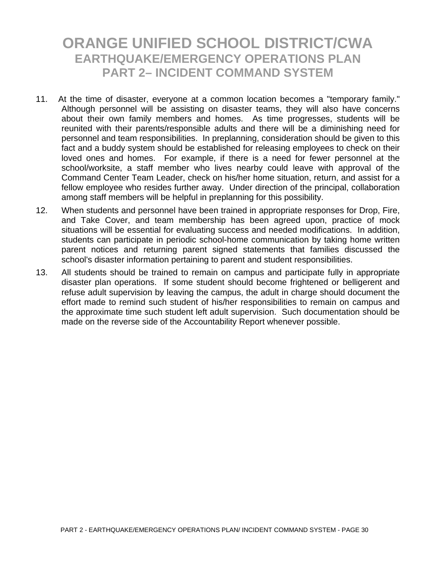- 11. At the time of disaster, everyone at a common location becomes a "temporary family." Although personnel will be assisting on disaster teams, they will also have concerns about their own family members and homes. As time progresses, students will be reunited with their parents/responsible adults and there will be a diminishing need for personnel and team responsibilities. In preplanning, consideration should be given to this fact and a buddy system should be established for releasing employees to check on their loved ones and homes. For example, if there is a need for fewer personnel at the school/worksite, a staff member who lives nearby could leave with approval of the Command Center Team Leader, check on his/her home situation, return, and assist for a fellow employee who resides further away. Under direction of the principal, collaboration among staff members will be helpful in preplanning for this possibility.
- 12. When students and personnel have been trained in appropriate responses for Drop, Fire, and Take Cover, and team membership has been agreed upon, practice of mock situations will be essential for evaluating success and needed modifications. In addition, students can participate in periodic school-home communication by taking home written parent notices and returning parent signed statements that families discussed the school's disaster information pertaining to parent and student responsibilities.
- 13. All students should be trained to remain on campus and participate fully in appropriate disaster plan operations. If some student should become frightened or belligerent and refuse adult supervision by leaving the campus, the adult in charge should document the effort made to remind such student of his/her responsibilities to remain on campus and the approximate time such student left adult supervision. Such documentation should be made on the reverse side of the Accountability Report whenever possible.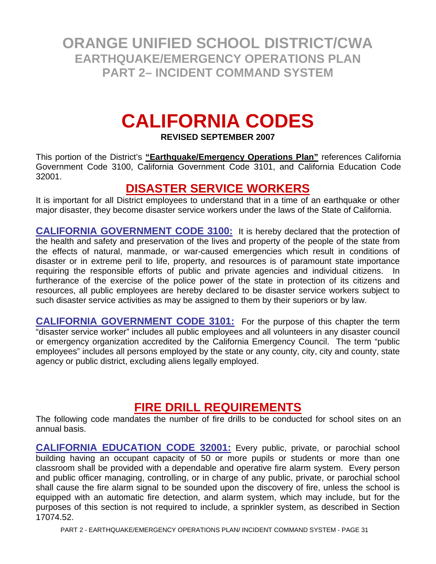# **CALIFORNIA CODES**

**REVISED SEPTEMBER 2007** 

This portion of the District's **"Earthquake/Emergency Operations Plan"** references California Government Code 3100, California Government Code 3101, and California Education Code 32001.

#### **DISASTER SERVICE WORKERS**

It is important for all District employees to understand that in a time of an earthquake or other major disaster, they become disaster service workers under the laws of the State of California.

**CALIFORNIA GOVERNMENT CODE 3100:** It is hereby declared that the protection of the health and safety and preservation of the lives and property of the people of the state from the effects of natural, manmade, or war-caused emergencies which result in conditions of disaster or in extreme peril to life, property, and resources is of paramount state importance requiring the responsible efforts of public and private agencies and individual citizens. In furtherance of the exercise of the police power of the state in protection of its citizens and resources, all public employees are hereby declared to be disaster service workers subject to such disaster service activities as may be assigned to them by their superiors or by law.

**CALIFORNIA GOVERNMENT CODE 3101:** For the purpose of this chapter the term "disaster service worker" includes all public employees and all volunteers in any disaster council or emergency organization accredited by the California Emergency Council. The term "public employees" includes all persons employed by the state or any county, city, city and county, state agency or public district, excluding aliens legally employed.

#### **FIRE DRILL REQUIREMENTS**

The following code mandates the number of fire drills to be conducted for school sites on an annual basis.

**CALIFORNIA EDUCATION CODE 32001:** Every public, private, or parochial school building having an occupant capacity of 50 or more pupils or students or more than one classroom shall be provided with a dependable and operative fire alarm system. Every person and public officer managing, controlling, or in charge of any public, private, or parochial school shall cause the fire alarm signal to be sounded upon the discovery of fire, unless the school is equipped with an automatic fire detection, and alarm system, which may include, but for the purposes of this section is not required to include, a sprinkler system, as described in Section 17074.52.